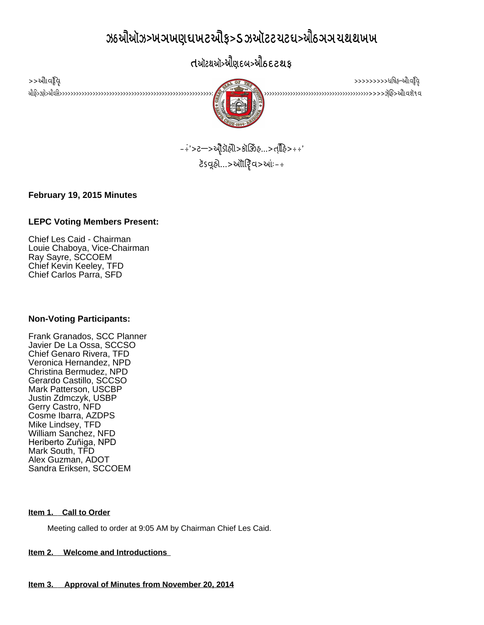# $\alpha$  be all also be about the collect of  $\alpha$  be a small  $\alpha$  be a small  $\alpha$

## **SANTA CRUZ COUNTY**



 $>$   $>$   $\frac{1}{\sqrt{2}}$   $\frac{1}{\sqrt{2}}$   $\frac{1}{\sqrt{2}}$   $\frac{1}{\sqrt{2}}$   $\frac{1}{\sqrt{2}}$   $\frac{1}{\sqrt{2}}$   $\frac{1}{\sqrt{2}}$   $\frac{1}{\sqrt{2}}$   $\frac{1}{\sqrt{2}}$   $\frac{1}{\sqrt{2}}$   $\frac{1}{\sqrt{2}}$   $\frac{1}{\sqrt{2}}$   $\frac{1}{\sqrt{2}}$   $\frac{1}{\sqrt{2}}$   $\frac{1}{\sqrt{2}}$   $\frac{1}{\sqrt{2}}$   $\frac{1$ Chief Les Caid Louie Chaboya

> $2.33 - 3.37$   $-2.33$   $-2.33$   $-2.33$   $-2.33$   $-2.33$   $-2.33$   $-2.33$   $-2.33$   $-2.33$   $-2.33$   $-2.33$   $-2.33$   $-2.33$   $-2.33$   $-2.33$   $-2.33$   $-2.33$   $-2.33$   $-2.33$   $-2.33$   $-2.33$   $-2.33$   $-2.33$   $-2.33$   $-2.33$   $-2.33$  ટૅડવૂહો $\ldots$ >ઑોરિવ>આઃ-÷

**February 19, 2015 Minutes**

## **LEPC Voting Members Present:**

Chief Les Caid - Chairman Louie Chaboya, Vice-Chairman Ray Sayre, SCCOEM Chief Kevin Keeley, TFD Chief Carlos Parra, SFD

## **Non-Voting Participants:**

Frank Granados, SCC Planner Javier De La Ossa, SCCSO Chief Genaro Rivera, TFD Veronica Hernandez, NPD Christina Bermudez, NPD Gerardo Castillo, SCCSO Mark Patterson, USCBP Justin Zdmczyk, USBP Gerry Castro, NFD Cosme Ibarra, AZDPS Mike Lindsey, TFD William Sanchez, NFD Heriberto Zuñiga, NPD Mark South, TFD Alex Guzman, ADOT Sandra Eriksen, SCCOEM

## **Item 1. Call to Order**

Meeting called to order at 9:05 AM by Chairman Chief Les Caid.

## **Item 2. Welcome and Introductions**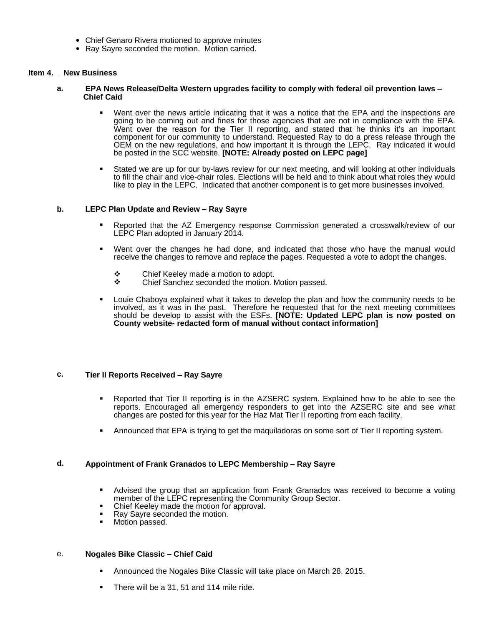- Chief Genaro Rivera motioned to approve minutes
- Ray Sayre seconded the motion. Motion carried.

#### **Item 4. New Business**

- **a. EPA News Release/Delta Western upgrades facility to comply with federal oil prevention laws – Chief Caid**
	- Went over the news article indicating that it was a notice that the EPA and the inspections are going to be coming out and fines for those agencies that are not in compliance with the EPA. Went over the reason for the Tier II reporting, and stated that he thinks it's an important component for our community to understand. Requested Ray to do a press release through the OEM on the new regulations, and how important it is through the LEPC. Ray indicated it would be posted in the SCC website. **[NOTE: Already posted on LEPC page]**
	- Stated we are up for our by-laws review for our next meeting, and will looking at other individuals to fill the chair and vice-chair roles. Elections will be held and to think about what roles they would like to play in the LEPC. Indicated that another component is to get more businesses involved.

#### **b. LEPC Plan Update and Review – Ray Sayre**

- Reported that the AZ Emergency response Commission generated a crosswalk/review of our LEPC Plan adopted in January 2014.
- Went over the changes he had done, and indicated that those who have the manual would receive the changes to remove and replace the pages. Requested a vote to adopt the changes.
	- ❖ Chief Keeley made a motion to adopt.<br>❖ Chief Sanchez seconded the motion I
	- Chief Sanchez seconded the motion. Motion passed.
- Louie Chaboya explained what it takes to develop the plan and how the community needs to be involved, as it was in the past. Therefore he requested that for the next meeting committees should be develop to assist with the ESFs. **[NOTE: Updated LEPC plan is now posted on County website- redacted form of manual without contact information]**

#### **c. Tier II Reports Received – Ray Sayre**

- Reported that Tier II reporting is in the AZSERC system. Explained how to be able to see the reports. Encouraged all emergency responders to get into the AZSERC site and see what changes are posted for this year for the Haz Mat Tier II reporting from each facility.
- Announced that EPA is trying to get the maquiladoras on some sort of Tier II reporting system.

#### **d. Appointment of Frank Granados to LEPC Membership – Ray Sayre**

- Advised the group that an application from Frank Granados was received to become a voting member of the LEPC representing the Community Group Sector.
- Chief Keeley made the motion for approval.
- Ray Sayre seconded the motion.
- **Motion passed.**

#### e. **Nogales Bike Classic – Chief Caid**

- Announced the Nogales Bike Classic will take place on March 28, 2015.
- There will be a 31, 51 and 114 mile ride.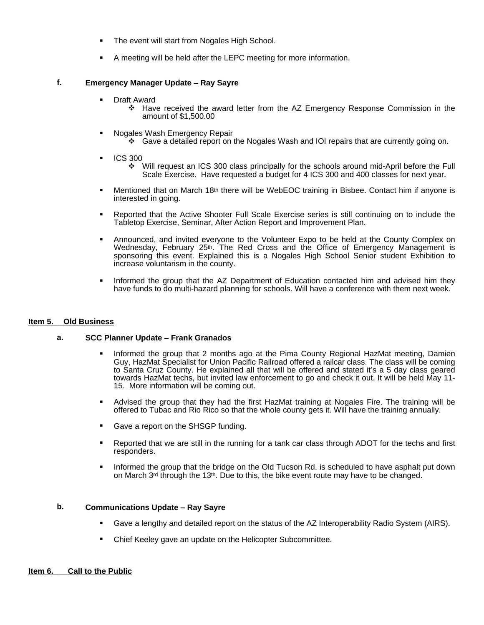- The event will start from Nogales High School.
- A meeting will be held after the LEPC meeting for more information.

#### **f. Emergency Manager Update – Ray Sayre**

- Draft Award
	- Have received the award letter from the AZ Emergency Response Commission in the amount of \$1,500.00
- Nogales Wash Emergency Repair
	- Gave a detailed report on the Nogales Wash and IOI repairs that are currently going on.
- ICS 300
	- Will request an ICS 300 class principally for the schools around mid-April before the Full Scale Exercise. Have requested a budget for 4 ICS 300 and 400 classes for next year.
- **Mentioned that on March 18th there will be WebEOC training in Bisbee. Contact him if anyone is** interested in going.
- Reported that the Active Shooter Full Scale Exercise series is still continuing on to include the Tabletop Exercise, Seminar, After Action Report and Improvement Plan.
- Announced, and invited everyone to the Volunteer Expo to be held at the County Complex on Wednesday, February 25<sup>th</sup>. The Red Cross and the Office of Emergency Management is sponsoring this event. Explained this is a Nogales High School Senior student Exhibition to increase voluntarism in the county.
- Informed the group that the AZ Department of Education contacted him and advised him they have funds to do multi-hazard planning for schools. Will have a conference with them next week.

#### **Item 5. Old Business**

#### **a. SCC Planner Update – Frank Granados**

- **Informed the group that 2 months ago at the Pima County Regional HazMat meeting, Damien** Guy, HazMat Specialist for Union Pacific Railroad offered a railcar class. The class will be coming to Santa Cruz County. He explained all that will be offered and stated it's a 5 day class geared towards HazMat techs, but invited law enforcement to go and check it out. It will be held May 11- 15. More information will be coming out.
- Advised the group that they had the first HazMat training at Nogales Fire. The training will be offered to Tubac and Rio Rico so that the whole county gets it. Will have the training annually.
- **Gave a report on the SHSGP funding.**
- **EXE** Reported that we are still in the running for a tank car class through ADOT for the techs and first responders.
- **Informed the group that the bridge on the Old Tucson Rd. is scheduled to have asphalt put down** on March 3rd through the 13th. Due to this, the bike event route may have to be changed.

#### **b. Communications Update – Ray Sayre**

- Gave a lengthy and detailed report on the status of the AZ Interoperability Radio System (AIRS).
- Chief Keeley gave an update on the Helicopter Subcommittee.

#### **Item 6. Call to the Public**